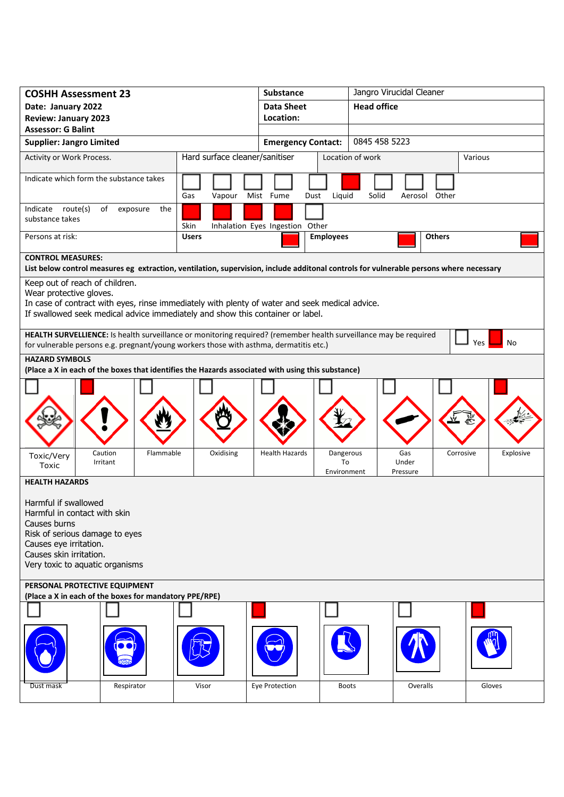| <b>COSHH Assessment 23</b>                                                                                                                                                                                                                    |                                | Jangro Virucidal Cleaner<br><b>Substance</b> |                                                                 |  |  |  |
|-----------------------------------------------------------------------------------------------------------------------------------------------------------------------------------------------------------------------------------------------|--------------------------------|----------------------------------------------|-----------------------------------------------------------------|--|--|--|
| Date: January 2022                                                                                                                                                                                                                            |                                | <b>Data Sheet</b>                            | <b>Head office</b>                                              |  |  |  |
| <b>Review: January 2023</b>                                                                                                                                                                                                                   |                                | Location:                                    |                                                                 |  |  |  |
| <b>Assessor: G Balint</b>                                                                                                                                                                                                                     |                                |                                              |                                                                 |  |  |  |
| <b>Supplier: Jangro Limited</b>                                                                                                                                                                                                               |                                | <b>Emergency Contact:</b>                    | 0845 458 5223                                                   |  |  |  |
| Activity or Work Process.                                                                                                                                                                                                                     | Hard surface cleaner/sanitiser |                                              | Location of work<br>Various                                     |  |  |  |
| Indicate which form the substance takes                                                                                                                                                                                                       | Gas<br>Vapour                  | Liquid<br>Mist Fume<br>Dust                  | Solid<br>Aerosol Other                                          |  |  |  |
| Indicate route(s)<br>of<br>exposure<br>the<br>substance takes                                                                                                                                                                                 | Skin                           | Inhalation Eyes Ingestion Other              |                                                                 |  |  |  |
| Persons at risk:                                                                                                                                                                                                                              | <b>Users</b>                   | <b>Employees</b>                             | <b>Others</b>                                                   |  |  |  |
| <b>CONTROL MEASURES:</b><br>List below control measures eg extraction, ventilation, supervision, include additonal controls for vulnerable persons where necessary                                                                            |                                |                                              |                                                                 |  |  |  |
| Keep out of reach of children.<br>Wear protective gloves.<br>In case of contract with eyes, rinse immediately with plenty of water and seek medical advice.<br>If swallowed seek medical advice immediately and show this container or label. |                                |                                              |                                                                 |  |  |  |
| HEALTH SURVELLIENCE: Is health surveillance or monitoring required? (remember health surveillance may be required<br>Yes<br>No<br>for vulnerable persons e.g. pregnant/young workers those with asthma, dermatitis etc.)                      |                                |                                              |                                                                 |  |  |  |
| <b>HAZARD SYMBOLS</b>                                                                                                                                                                                                                         |                                |                                              |                                                                 |  |  |  |
| (Place a X in each of the boxes that identifies the Hazards associated with using this substance)                                                                                                                                             |                                |                                              |                                                                 |  |  |  |
|                                                                                                                                                                                                                                               |                                |                                              |                                                                 |  |  |  |
| Caution<br>Flammable<br>Toxic/Very<br>Irritant<br>Toxic                                                                                                                                                                                       | Oxidising                      | <b>Health Hazards</b><br>To<br>Environment   | Gas<br>Corrosive<br>Explosive<br>Dangerous<br>Under<br>Pressure |  |  |  |
| <b>HEALTH HAZARDS</b>                                                                                                                                                                                                                         |                                |                                              |                                                                 |  |  |  |
| Harmful if swallowed<br>Harmful in contact with skin<br>Causes burns<br>Risk of serious damage to eyes<br>Causes eye irritation.<br>Causes skin irritation.<br>Very toxic to aquatic organisms                                                |                                |                                              |                                                                 |  |  |  |
| PERSONAL PROTECTIVE EQUIPMENT                                                                                                                                                                                                                 |                                |                                              |                                                                 |  |  |  |
| (Place a X in each of the boxes for mandatory PPE/RPE)                                                                                                                                                                                        |                                |                                              |                                                                 |  |  |  |
| Respirator<br>Dust mask                                                                                                                                                                                                                       | Visor                          | Eye Protection                               | Gloves<br>Overalls<br><b>Boots</b>                              |  |  |  |